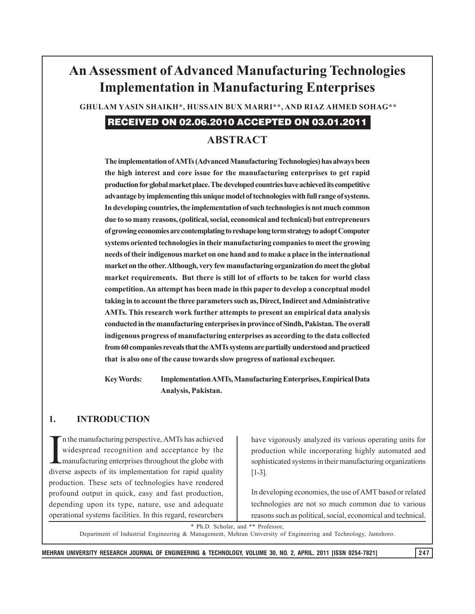# **An Assessment of Advanced Manufacturing Technologies Implementation in Manufacturing Enterprises**

 **GHULAM YASIN SHAIKH\*, HUSSAIN BUX MARRI\*\*, AND RIAZ AHMED SOHAG\*\***

# RECEIVED ON 02.06.2010 ACCEPTED ON 03.01.2011

# **ABSTRACT**

**The implementation of AMTs (Advanced Manufacturing Technologies) has always been the high interest and core issue for the manufacturing enterprises to get rapid production for global market place. The developed countries have achieved its competitive advantage by implementing this unique model of technologies with full range of systems. In developing countries, the implementation of such technologies is not much common due to so many reasons, (political, social, economical and technical) but entrepreneurs of growing economies are contemplating to reshape long term strategy to adopt Computer systems oriented technologies in their manufacturing companies to meet the growing needs of their indigenous market on one hand and to make a place in the international market on the other. Although, very few manufacturing organization do meet the global market requirements. But there is still lot of efforts to be taken for world class competition. An attempt has been made in this paper to develop a conceptual model taking in to account the three parameters such as, Direct, Indirect and Administrative AMTs. This research work further attempts to present an empirical data analysis conducted in the manufacturing enterprises in province of Sindh, Pakistan. The overall indigenous progress of manufacturing enterprises as according to the data collected from 60 companies reveals that the AMTs systems are partially understood and practiced that is also one of the cause towards slow progress of national exchequer.**

**Key Words: Implementation AMTs, Manufacturing Enterprises, Empirical Data Analysis, Pakistan.**

#### **1. INTRODUCTION**

I n the manufacturing perspective, AMTs has achieved widespread recognition and acceptance by the manufacturing enterprises throughout the globe with diverse aspects of its implementation for rapid quality production. These sets of technologies have rendered profound output in quick, easy and fast production, depending upon its type, nature, use and adequate operational systems facilities. In this regard, researchers

have vigorously analyzed its various operating units for production while incorporating highly automated and sophisticated systems in their manufacturing organizations [1-3].

In developing economies, the use of AMT based or related technologies are not so much common due to various reasons such as political, social, economical and technical.

\* Ph.D. Scholar, and \*\* Professor,

Department of Industrial Engineering & Management, Mehran University of Engineering and Technology, Jamshoro.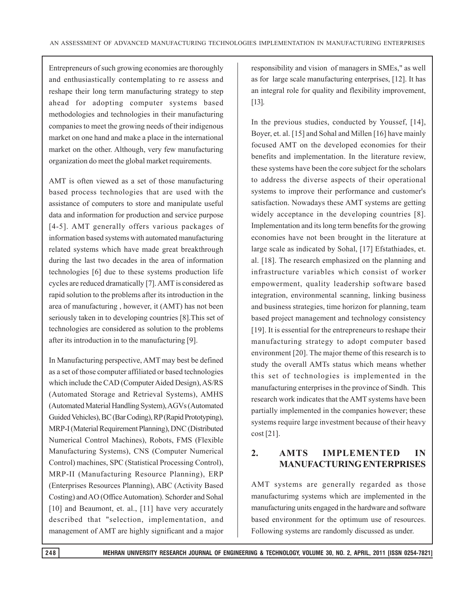Entrepreneurs of such growing economies are thoroughly and enthusiastically contemplating to re assess and reshape their long term manufacturing strategy to step ahead for adopting computer systems based methodologies and technologies in their manufacturing companies to meet the growing needs of their indigenous market on one hand and make a place in the international market on the other. Although, very few manufacturing organization do meet the global market requirements.

AMT is often viewed as a set of those manufacturing based process technologies that are used with the assistance of computers to store and manipulate useful data and information for production and service purpose [4-5]. AMT generally offers various packages of information based systems with automated manufacturing related systems which have made great breakthrough during the last two decades in the area of information technologies [6] due to these systems production life cycles are reduced dramatically [7]. AMT is considered as rapid solution to the problems after its introduction in the area of manufacturing , however, it (AMT) has not been seriously taken in to developing countries [8].This set of technologies are considered as solution to the problems after its introduction in to the manufacturing [9].

In Manufacturing perspective, AMT may best be defined as a set of those computer affiliated or based technologies which include the CAD (Computer Aided Design), AS/RS (Automated Storage and Retrieval Systems), AMHS (Automated Material Handling System), AGVs (Automated Guided Vehicles), BC (Bar Coding), RP (Rapid Prototyping), MRP-I (Material Requirement Planning), DNC (Distributed Numerical Control Machines), Robots, FMS (Flexible Manufacturing Systems), CNS (Computer Numerical Control) machines, SPC (Statistical Processing Control), MRP-II (Manufacturing Resource Planning), ERP (Enterprises Resources Planning), ABC (Activity Based Costing) and AO (Office Automation). Schorder and Sohal [10] and Beaumont, et. al., [11] have very accurately described that "selection, implementation, and management of AMT are highly significant and a major responsibility and vision of managers in SMEs," as well as for large scale manufacturing enterprises, [12]. It has an integral role for quality and flexibility improvement, [13].

In the previous studies, conducted by Youssef, [14], Boyer, et. al. [15] and Sohal and Millen [16] have mainly focused AMT on the developed economies for their benefits and implementation. In the literature review, these systems have been the core subject for the scholars to address the diverse aspects of their operational systems to improve their performance and customer's satisfaction. Nowadays these AMT systems are getting widely acceptance in the developing countries [8]. Implementation and its long term benefits for the growing economies have not been brought in the literature at large scale as indicated by Sohal, [17] Efstathiades, et. al. [18]. The research emphasized on the planning and infrastructure variables which consist of worker empowerment, quality leadership software based integration, environmental scanning, linking business and business strategies, time horizon for planning, team based project management and technology consistency [19]. It is essential for the entrepreneurs to reshape their manufacturing strategy to adopt computer based environment [20]. The major theme of this research is to study the overall AMTs status which means whether this set of technologies is implemented in the manufacturing enterprises in the province of Sindh. This research work indicates that the AMT systems have been partially implemented in the companies however; these systems require large investment because of their heavy cost [21].

## **2. AMTS IMPLEMENTED IN MANUFACTURING ENTERPRISES**

AMT systems are generally regarded as those manufacturimg systems which are implemented in the manufacturing units engaged in the hardware and software based environment for the optimum use of resources. Following systems are randomly discussed as under.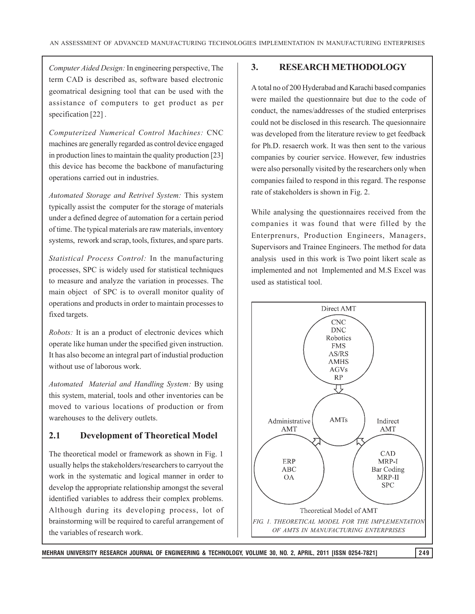*Computer Aided Design:* In engineering perspective, The term CAD is described as, software based electronic geomatrical designing tool that can be used with the assistance of computers to get product as per specification [22].

*Computerized Numerical Control Machines:* CNC machines are generally regarded as control device engaged in production lines to maintain the quality production [23] this device has become the backbone of manufacturing operations carried out in industries.

*Automated Storage and Retrivel System:* This system typically assist the computer for the storage of materials under a defined degree of automation for a certain period of time. The typical materials are raw materials, inventory systems, rework and scrap, tools, fixtures, and spare parts.

*Statistical Process Control:* In the manufacturing processes, SPC is widely used for statistical techniques to measure and analyze the variation in processes. The main object of SPC is to overall monitor quality of operations and products in order to maintain processes to fixed targets.

*Robots:* It is an a product of electronic devices which operate like human under the specified given instruction. It has also become an integral part of industial production without use of laborous work.

*Automated Material and Handling System:* By using this system, material, tools and other inventories can be moved to various locations of production or from warehouses to the delivery outlets.

#### **2.1 Development of Theoretical Model**

The theoretical model or framework as shown in Fig. 1 usually helps the stakeholders/researchers to carryout the work in the systematic and logical manner in order to develop the appropriate relationship amongst the several identified variables to address their complex problems. Although during its developing process, lot of brainstorming will be required to careful arrangement of the variables of research work.

#### **3. RESEARCH METHODOLOGY**

A total no of 200 Hyderabad and Karachi based companies were mailed the questionnaire but due to the code of conduct, the names/addresses of the studied enterprises could not be disclosed in this research. The quesionnaire was developed from the literature review to get feedback for Ph.D. resaerch work. It was then sent to the various companies by courier service. However, few industries were also personally visited by the researchers only when companies failed to respond in this regard. The response rate of stakeholders is shown in Fig. 2.

While analysing the questionnaires received from the companies it was found that were filled by the Enterprenurs, Production Engineers, Managers, Supervisors and Trainee Engineers. The method for data analysis used in this work is Two point likert scale as implemented and not Implemented and M.S Excel was used as statistical tool.

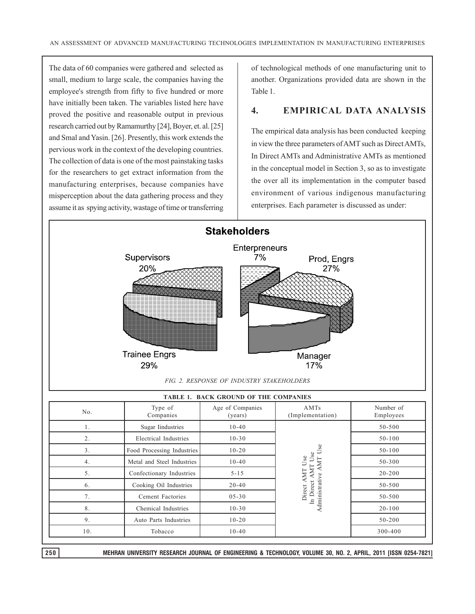The data of 60 companies were gathered and selected as small, medium to large scale, the companies having the employee's strength from fifty to five hundred or more have initially been taken. The variables listed here have proved the positive and reasonable output in previous research carried out by Ramamurthy [24], Boyer, et. al. [25] and Smal and Yasin. [26]. Presently, this work extends the pervious work in the context of the developing countries. The collection of data is one of the most painstaking tasks for the researchers to get extract information from the manufacturing enterprises, because companies have misperception about the data gathering process and they assume it as spying activity, wastage of time or transferring of technological methods of one manufacturing unit to another. Organizations provided data are shown in the Table 1.

#### **4. EMPIRICAL DATA ANALYSIS**

The empirical data analysis has been conducted keeping in view the three parameters of AMT such as Direct AMTs, In Direct AMTs and Administrative AMTs as mentioned in the conceptual model in Section 3, so as to investigate the over all its implementation in the computer based environment of various indigenous manufacturing enterprises. Each parameter is discussed as under:



| TABLE 1. BACK GROUND OF THE COMPANIES |                            |                             |                                                                              |                        |
|---------------------------------------|----------------------------|-----------------------------|------------------------------------------------------------------------------|------------------------|
| No.                                   | Type of<br>Companies       | Age of Companies<br>(years) | AMTs<br>(Implementation)                                                     | Number of<br>Employees |
| 1.                                    | <b>Sugar Industries</b>    | $10-40$                     | Se<br>Use<br>Use<br>AMT<br>⋖<br>AMT<br>Administrative<br>In Direct<br>Direct | 50-500                 |
| 2.                                    | Electrical Industries      | $10 - 30$                   |                                                                              | $50 - 100$             |
| 3.                                    | Food Processing Industries | $10 - 20$                   |                                                                              | $50 - 100$             |
| 4.                                    | Metal and Steel Industries | $10-40$                     |                                                                              | 50-300                 |
| 5.                                    | Confectionary Industries   | $5 - 15$                    |                                                                              | $20 - 200$             |
| 6.                                    | Cooking Oil Industries     | $20 - 40$                   |                                                                              | 50-500                 |
| 7.                                    | Cement Factories           | $05 - 30$                   |                                                                              | 50-500                 |
| 8.                                    | Chemical Industries        | $10 - 30$                   |                                                                              | $20 - 100$             |
| 9.                                    | Auto Parts Industries      | $10 - 20$                   |                                                                              | 50-200                 |
| 10.                                   | Tobacco                    | $10-40$                     |                                                                              | 300-400                |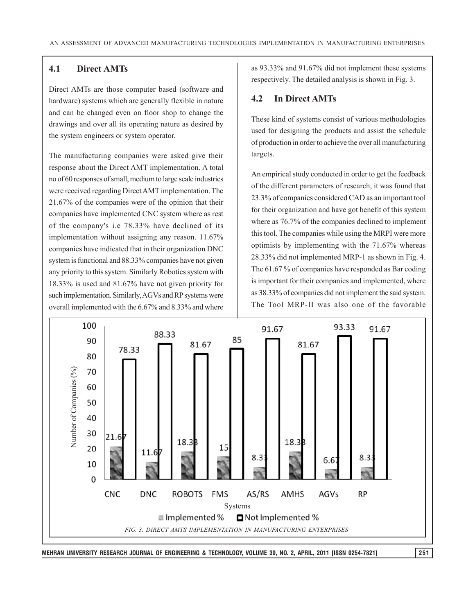#### **4.1 Direct AMTs**

Direct AMTs are those computer based (software and hardware) systems which are generally flexible in nature and can be changed even on floor shop to change the drawings and over all its operating nature as desired by the system engineers or system operator.

The manufacturing companies were asked give their response about the Direct AMT implementation. A total no of 60 responses of small, medium to large scale industries were received regarding Direct AMT implementation. The 21.67% of the companies were of the opinion that their companies have implemented CNC system where as rest of the company's i.e 78.33% have declined of its implementation without assigning any reason. 11.67% companies have indicated that in their organization DNC system is functional and 88.33% companies have not given any priority to this system. Similarly Robotics system with 18.33% is used and 81.67% have not given priority for such implementation. Similarly, AGVs and RP systems were overall implemented with the 6.67% and 8.33% and where

as 93.33% and 91.67% did not implement these systems respectively. The detailed analysis is shown in Fig. 3.

#### **4.2 In Direct AMTs**

These kind of systems consist of various methodologies used for designing the products and assist the schedule of production in order to achieve the over all manufacturing targets.

An empirical study conducted in order to get the feedback of the different parameters of research, it was found that 23.3% of companies considered CAD as an important tool for their organization and have got benefit of this system where as 76.7% of the companies declined to implement this tool. The companies while using the MRPI were more optimists by implementing with the 71.67% whereas 28.33% did not implemented MRP-1 as shown in Fig. 4. The 61.67 % of companies have responded as Bar coding is important for their companies and implemented, where as 38.33% of companies did not implement the said system. The Tool MRP-II was also one of the favorable

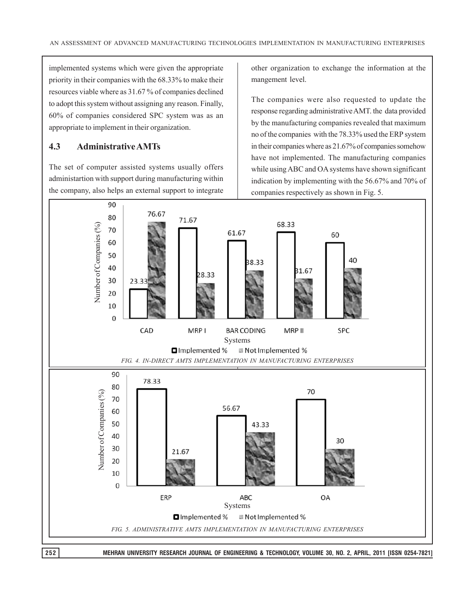implemented systems which were given the appropriate priority in their companies with the 68.33% to make their resources viable where as 31.67 % of companies declined to adopt this system without assigning any reason. Finally, 60% of companies considered SPC system was as an appropriate to implement in their organization.

### **4.3 Administrative AMTs**

The set of computer assisted systems usually offers administartion with support during manufacturing within the company, also helps an external support to integrate other organization to exchange the information at the mangement level.

The companies were also requested to update the response regarding administrative AMT. the data provided by the manufacturing companies revealed that maximum no of the companies with the 78.33% used the ERP system in their companies where as 21.67% of companies somehow have not implemented. The manufacturing companies while using ABC and OA systems have shown significant indication by implementing with the 56.67% and 70% of companies respectively as shown in Fig. 5.

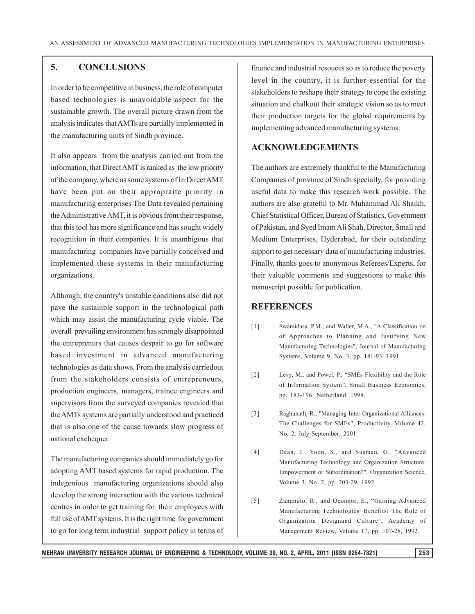## **5. CONCLUSIONS**

In order to be competitive in business, the role of computer based technologies is unavoidable aspect for the sustainable growth. The overall picture drawn from the analysis indicates that AMTs are partially implemented in the manufacturing units of Sindh province.

It also appears from the analysis carried out from the information, that Direct AMT is ranked as the low priority of the company, where as some systems of In Direct AMT have been put on their appropraite priority in manufacturing enterprises The Data revealed pertaining the Administrative AMT, it is obvious from their response, that this tool has more significance and has sought widely recognition in their companies. It is unambigous that manufacturing companies have partially conceived and implemented these systems in their manufacturing organizations.

Although, the country's unstable conditions also did not pave the sustainble support in the technological path which may assist the manufacturing cycle viable. The overall prevailing environment has strongly disappointed the entreprenurs that causes despair to go for software based investment in advanced manufacturing technologies as data shows. From the analysis carriedout from the stakeholders consists of entrepreneurs, production engineers, managers, trainee engineers and supervisors from the surveyed companies revealed that the AMTs systems are partially understood and practiced that is also one of the cause towards slow progress of national exchequer.

The manufacturing companies should immediately go for adopting AMT based systems for rapid production. The indegenious manufacturing organizations should also develop the strong interaction with the various technical centres in order to get training for their employees with full use of AMT systems. It is the right time for government to go for long term industrial support policy in terms of finance and industrial resouces so as to reduce the poverty level in the country, it is further essential for the stakeholders to reshape their strategy to cope the existing situation and chalkout their strategic vision so as to meet their production targets for the global requirements by implementing advanced manufacturing systems.

#### **ACKNOWLEDGEMENTS**

The authors are extremely thankful to the Manufacturing Companies of province of Sindh specially, for providing useful data to make this research work possible. The authors are also grateful to Mr. Muhammad Ali Shaikh, Chief Statistical Officer, Bureau of Statistics, Government of Pakistan, and Syed Imam Ali Shah, Director, Small and Medium Enterprises, Hyderabad, for their outstanding support to get necessary data of manufacturing industries. Finally, thanks goes to anonymous Referees/Experts, for their valuable comments and suggestions to make this manuscript possible for publication.

#### **REFERENCES**

- [1] Swamidass, P.M., and Waller, M.A., "A Classification on of Approaches to Planning and Justifying New Manufacturing Technologies", Journal of Manufacturing Systems, Volume 9, No. 3, pp. 181-93, 1991.
- [2] Levy, M., and Powel, P., "SMEs Flexibility and the Role of Information System", Small Business Economics, pp. 183-196, Netherland, 1998.
- [3] Raghunath, R., "Managing Inter-Organizational Alliances: The Challenges for SMEs", Productivity, Volume 42, No. 2, July-September, 2001.
- [4] Dean, J., Yoon, S., and Susman, G., "Advanced Manufacturing Technology and Organization Structure: Empowerment or Subordination?", Organization Science, Volume 3, No. 2, pp. 203-29, 1992.
- [5] Zammuto, R., and Oconnor, E., "Gaining Advanced Manufacturing Technologies' Benefits: The Role of Organization Designand Culture", Academy of Management Review, Volume 17, pp. 107-28, 1992.